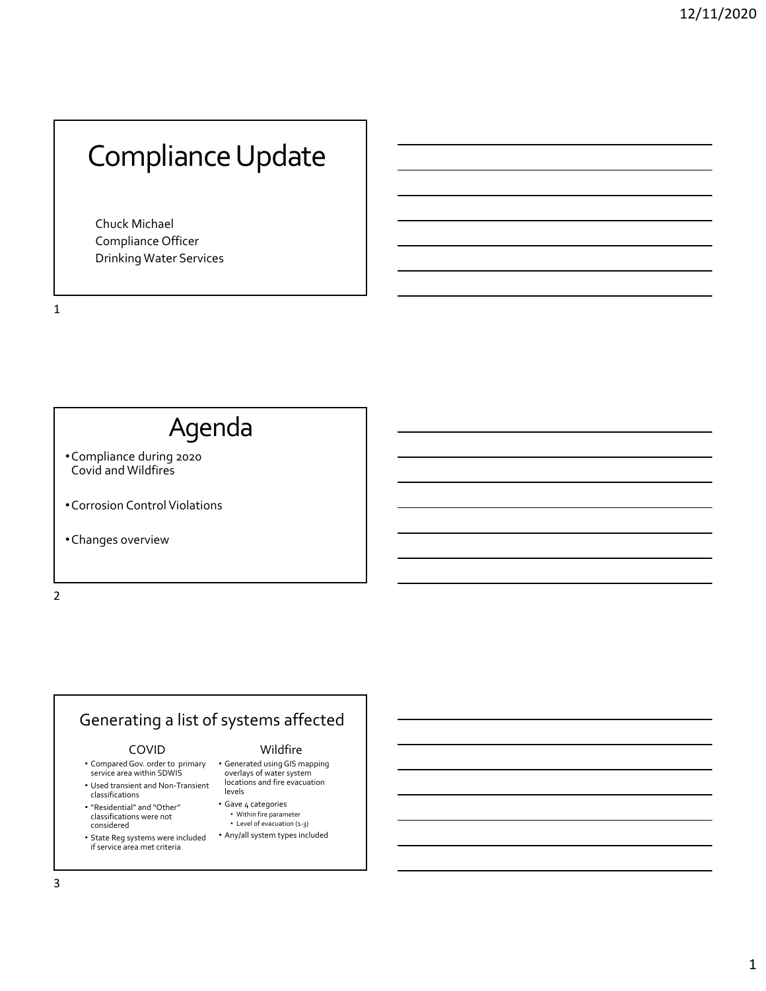# Compliance Update

Chuck Michael Compliance Officer Drinking Water Services

1

# Agenda

- •Compliance during 2020 Covid and Wildfires
- Corrosion Control Violations
- •Changes overview

2

# Generating a list of systems affected

#### COVID

- Compared Gov. order to primary service area within SDWIS
- Used transient and Non‐Transient classifications
- "Residential" and "Other" classifications were not considered
- State Reg systems were included if service area met criteria

### Wildfire

- Generated using GIS mapping overlays of water system locations and fire evacuation levels
- Gave 4 categories
- Within fire parameter Level of evacuation (1‐3)
- Any/all system types included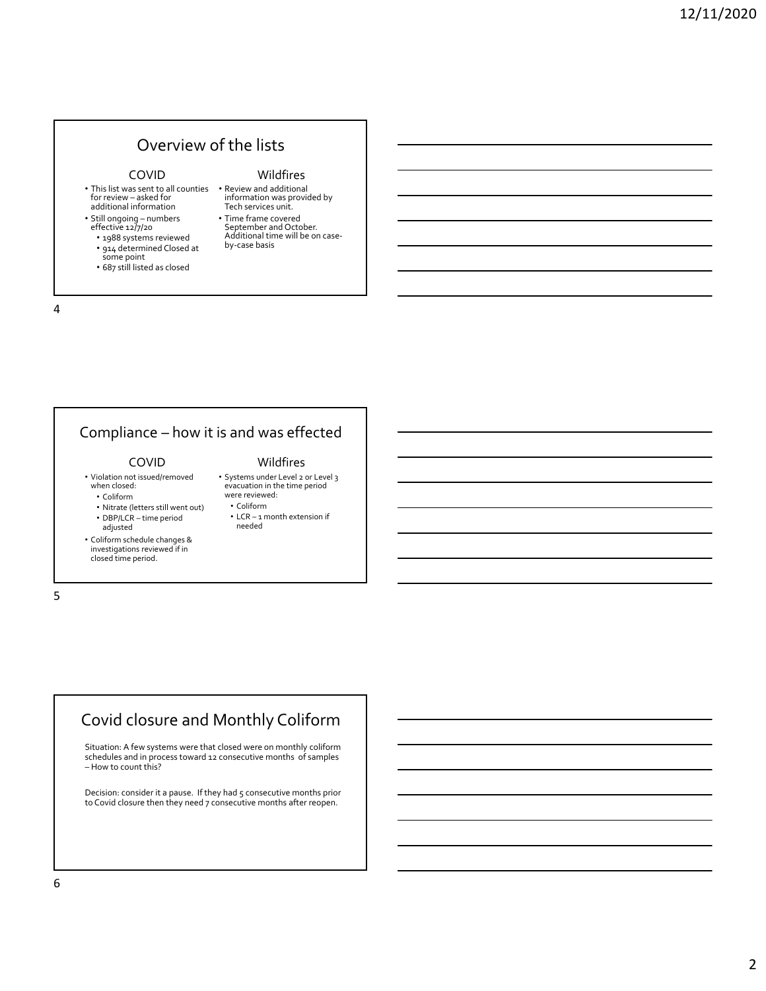### Overview of the lists

#### COVID

- This list was sent to all counties Review and additional for review – asked for additional information
- Still ongoing numbers effective 12/7/20
- 1988 systems reviewed
- <sup>914</sup> determined Closed at some point
- 687 still listed as closed

# information was provided by Tech services unit.

• Time frame covered Additional time will be on case-<br>by‐case basis

Wildfires

#### 4

# Compliance – how it is and was effected

#### COVID

• Violation not issued/removed when closed:

#### • Coliform

- Nitrate (letters still went out) • DBP/LCR – time period
- adjusted

• Coliform schedule changes & investigations reviewed if in closed time period.

### Wildfires

- Systems under Level 2 or Level 3 evacuation in the time period were reviewed: • Coliform
	- LCR 1 month extension if needed

5

## Covid closure and Monthly Coliform

Situation: A few systems were that closed were on monthly coliform schedules and in process toward 12 consecutive months of samples – How to count this?

Decision: consider it a pause. If they had 5 consecutive months prior to Covid closure then they need 7 consecutive months after reopen.

6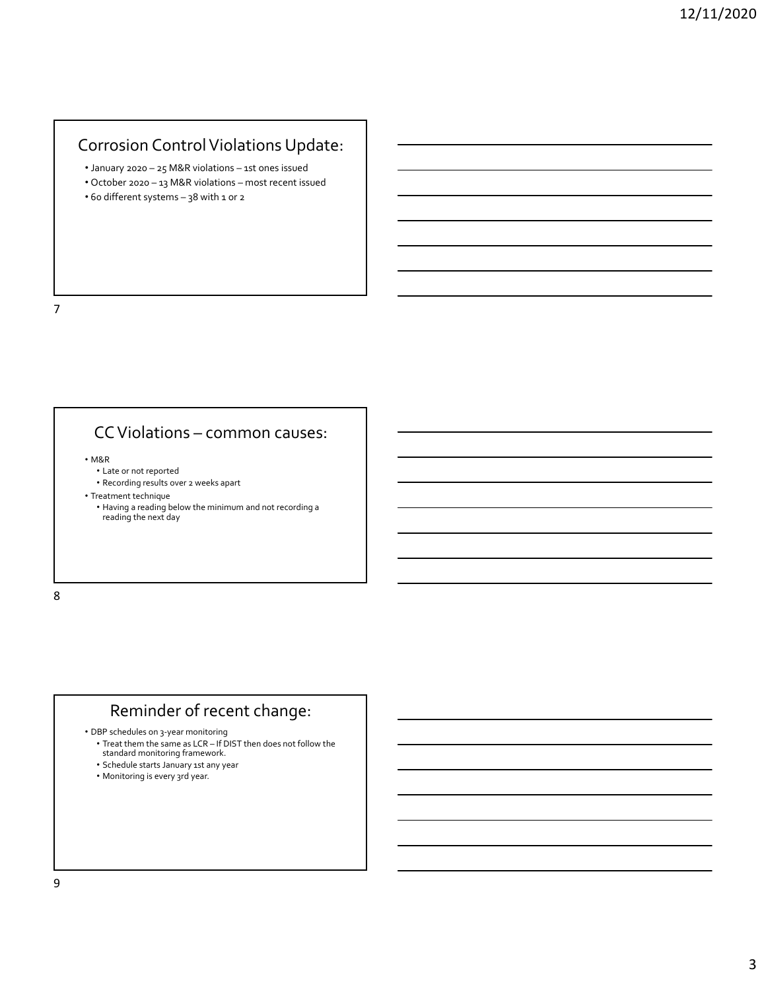### Corrosion Control Violations Update:

- January 2020 25 M&R violations 1st ones issued
- October 2020 13 M&R violations most recent issued
- 60 different systems 38 with 1 or 2

7

### CCViolations – common causes:

• M&R

- Late or not reported
- Recording results over 2 weeks apart
- Treatment technique
	- Having a reading below the minimum and not recording a reading the next day

8

### Reminder of recent change:

• DBP schedules on 3‐year monitoring

- Treat them the same as LCR If DIST then does not follow the standard monitoring framework.
- Schedule starts January 1st any year
- Monitoring is every 3rd year.

9